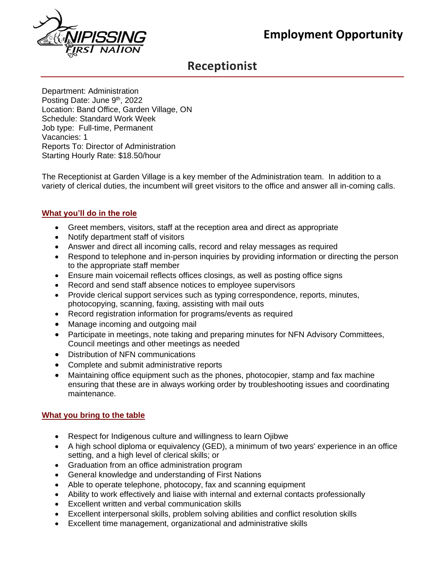

# **Receptionist**

Department: Administration Posting Date: June 9<sup>th</sup>, 2022 Location: Band Office, Garden Village, ON Schedule: Standard Work Week Job type: Full-time, Permanent Vacancies: 1 Reports To: Director of Administration Starting Hourly Rate: \$18.50/hour

The Receptionist at Garden Village is a key member of the Administration team. In addition to a variety of clerical duties, the incumbent will greet visitors to the office and answer all in-coming calls.

# **What you'll do in the role**

- Greet members, visitors, staff at the reception area and direct as appropriate
- Notify department staff of visitors
- Answer and direct all incoming calls, record and relay messages as required
- Respond to telephone and in-person inquiries by providing information or directing the person to the appropriate staff member
- Ensure main voicemail reflects offices closings, as well as posting office signs
- Record and send staff absence notices to employee supervisors
- Provide clerical support services such as typing correspondence, reports, minutes, photocopying, scanning, faxing, assisting with mail outs
- Record registration information for programs/events as required
- Manage incoming and outgoing mail
- Participate in meetings, note taking and preparing minutes for NFN Advisory Committees, Council meetings and other meetings as needed
- Distribution of NFN communications
- Complete and submit administrative reports
- Maintaining office equipment such as the phones, photocopier, stamp and fax machine ensuring that these are in always working order by troubleshooting issues and coordinating maintenance.

# **What you bring to the table**

- Respect for Indigenous culture and willingness to learn Ojibwe
- A high school diploma or equivalency (GED), a minimum of two years' experience in an office setting, and a high level of clerical skills; or
- Graduation from an office administration program
- General knowledge and understanding of First Nations
- Able to operate telephone, photocopy, fax and scanning equipment
- Ability to work effectively and liaise with internal and external contacts professionally
- Excellent written and verbal communication skills
- Excellent interpersonal skills, problem solving abilities and conflict resolution skills
- Excellent time management, organizational and administrative skills